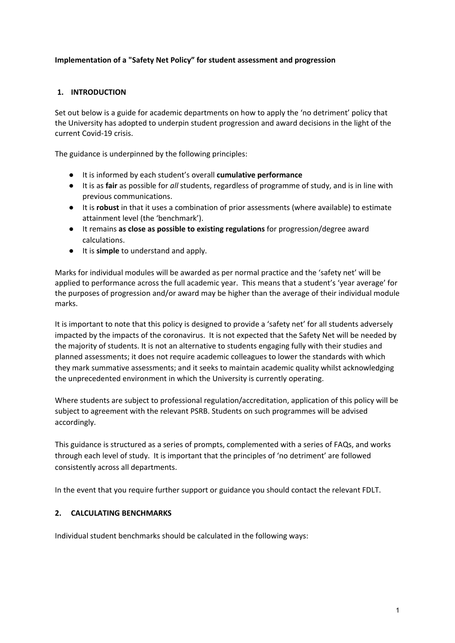### **Implementation of a "Safety Net Policy" for student assessment and progression**

#### **1. INTRODUCTION**

Set out below is a guide for academic departments on how to apply the 'no detriment' policy that the University has adopted to underpin student progression and award decisions in the light of the current Covid-19 crisis.

The guidance is underpinned by the following principles:

- It is informed by each student's overall **cumulative performance**
- It is as **fair** as possible for *all* students, regardless of programme of study, and is in line with previous communications.
- It is **robust** in that it uses a combination of prior assessments (where available) to estimate attainment level (the 'benchmark').
- It remains **as close as possible to existing regulations** for progression/degree award calculations.
- It is **simple** to understand and apply.

Marks for individual modules will be awarded as per normal practice and the 'safety net' will be applied to performance across the full academic year. This means that a student's 'year average' for the purposes of progression and/or award may be higher than the average of their individual module marks.

It is important to note that this policy is designed to provide a 'safety net' for all students adversely impacted by the impacts of the coronavirus. It is not expected that the Safety Net will be needed by the majority of students. It is not an alternative to students engaging fully with their studies and planned assessments; it does not require academic colleagues to lower the standards with which they mark summative assessments; and it seeks to maintain academic quality whilst acknowledging the unprecedented environment in which the University is currently operating.

Where students are subject to professional regulation/accreditation, application of this policy will be subject to agreement with the relevant PSRB. Students on such programmes will be advised accordingly.

This guidance is structured as a series of prompts, complemented with a series of FAQs, and works through each level of study. It is important that the principles of 'no detriment' are followed consistently across all departments.

In the event that you require further support or guidance you should contact the relevant FDLT.

#### **2. CALCULATING BENCHMARKS**

Individual student benchmarks should be calculated in the following ways: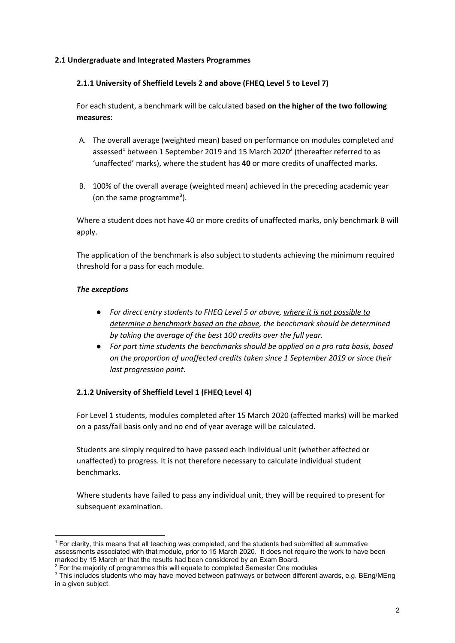#### **2.1 Undergraduate and Integrated Masters Programmes**

#### **2.1.1 University of Sheffield Levels 2 and above (FHEQ Level 5 to Level 7)**

For each student, a benchmark will be calculated based **on the higher of the two following measures**:

- A. The overall average (weighted mean) based on performance on modules completed and assessed<sup>1</sup> between 1 September 2019 and 15 March 2020<sup>2</sup> (thereafter referred to as 'unaffected' marks), where the student has **40** or more credits of unaffected marks.
- B. 100% of the overall average (weighted mean) achieved in the preceding academic year (on the same programme<sup>3</sup>).

Where a student does not have 40 or more credits of unaffected marks, only benchmark B will apply.

The application of the benchmark is also subject to students achieving the minimum required threshold for a pass for each module.

#### *The exceptions*

- *● For direct entry students to FHEQ Level 5 or above, where it is not possible to determine a benchmark based on the above, the benchmark should be determined by taking the average of the best 100 credits over the full year.*
- *● For part time students the benchmarks should be applied on a pro rata basis, based on the proportion of unaffected credits taken since 1 September 2019 or since their last progression point.*

#### **2.1.2 University of Sheffield Level 1 (FHEQ Level 4)**

For Level 1 students, modules completed after 15 March 2020 (affected marks) will be marked on a pass/fail basis only and no end of year average will be calculated.

Students are simply required to have passed each individual unit (whether affected or unaffected) to progress. It is not therefore necessary to calculate individual student benchmarks.

Where students have failed to pass any individual unit, they will be required to present for subsequent examination.

<sup>1</sup> For clarity, this means that all teaching was completed, and the students had submitted all summative assessments associated with that module, prior to 15 March 2020. It does not require the work to have been marked by 15 March or that the results had been considered by an Exam Board.

 $2$  For the majority of programmes this will equate to completed Semester One modules

 $3$  This includes students who may have moved between pathways or between different awards, e.g. BEng/MEng in a given subject.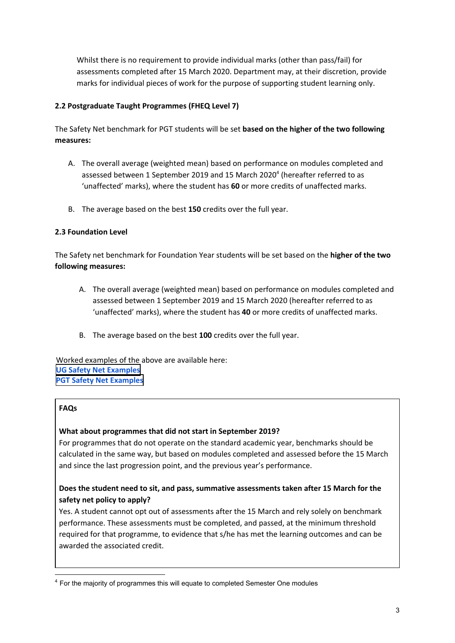Whilst there is no requirement to provide individual marks (other than pass/fail) for assessments completed after 15 March 2020. Department may, at their discretion, provide marks for individual pieces of work for the purpose of supporting student learning only.

### **2.2 Postgraduate Taught Programmes (FHEQ Level 7)**

The Safety Net benchmark for PGT students will be set **based on the higher of the two following measures:** 

- A. The overall average (weighted mean) based on performance on modules completed and assessed between 1 September 2019 and 15 March 2020<sup>4</sup> (hereafter referred to as 'unaffected' marks), where the student has **60** or more credits of unaffected marks.
- B. The average based on the best **150** credits over the full year.

### **2.3 Foundation Level**

The Safety net benchmark for Foundation Year students will be set based on the **higher of the two following measures:** 

- A. The overall average (weighted mean) based on performance on modules completed and assessed between 1 September 2019 and 15 March 2020 (hereafter referred to as 'unaffected' marks), where the student has **40** or more credits of unaffected marks.
- B. The average based on the best **100** credits over the full year.

Worked examples of the above are available here: **[UG Safety Net Examples](https://www.sheffield.ac.uk/polopoly_fs/1.889210!/file/UGSafetyNetExamples.pdf) [PGT Safety Net Examples](https://www.sheffield.ac.uk/polopoly_fs/1.889209!/file/PGTSafetyNetExamples.pdf)**

### **FAQs**

### **What about programmes that did not start in September 2019?**

For programmes that do not operate on the standard academic year, benchmarks should be calculated in the same way, but based on modules completed and assessed before the 15 March and since the last progression point, and the previous year's performance.

# **Does the student need to sit, and pass, summative assessments taken after 15 March for the safety net policy to apply?**

Yes. A student cannot opt out of assessments after the 15 March and rely solely on benchmark performance. These assessments must be completed, and passed, at the minimum threshold required for that programme, to evidence that s/he has met the learning outcomes and can be awarded the associated credit.

<sup>&</sup>lt;sup>4</sup> For the majority of programmes this will equate to completed Semester One modules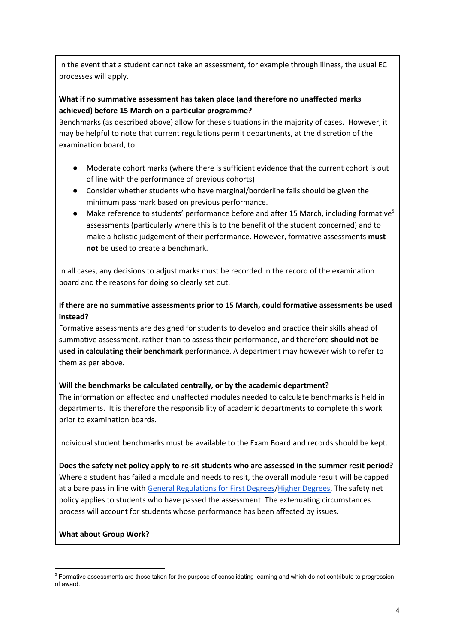In the event that a student cannot take an assessment, for example through illness, the usual EC processes will apply.

## **What if no summative assessment has taken place (and therefore no unaffected marks achieved) before 15 March on a particular programme?**

Benchmarks (as described above) allow for these situations in the majority of cases. However, it may be helpful to note that current regulations permit departments, at the discretion of the examination board, to:

- Moderate cohort marks (where there is sufficient evidence that the current cohort is out of line with the performance of previous cohorts)
- Consider whether students who have marginal/borderline fails should be given the minimum pass mark based on previous performance.
- Make reference to students' performance before and after 15 March, including formative<sup>5</sup> assessments (particularly where this is to the benefit of the student concerned) and to make a holistic judgement of their performance. However, formative assessments **must not** be used to create a benchmark.

In all cases, any decisions to adjust marks must be recorded in the record of the examination board and the reasons for doing so clearly set out.

## **If there are no summative assessments prior to 15 March, could formative assessments be used instead?**

Formative assessments are designed for students to develop and practice their skills ahead of summative assessment, rather than to assess their performance, and therefore **should not be used in calculating their benchmark** performance. A department may however wish to refer to them as per above.

### **Will the benchmarks be calculated centrally, or by the academic department?**

The information on affected and unaffected modules needed to calculate benchmarks is held in departments. It is therefore the responsibility of academic departments to complete this work prior to examination boards.

Individual student benchmarks must be available to the Exam Board and records should be kept.

**Does the safety net policy apply to re-sit students who are assessed in the summer resit period?** Where a student has failed a module and needs to resit, the overall module result will be capped at a bare pass in line with [General Regulations for First Degrees/](https://www.sheffield.ac.uk/polopoly_fs/1.743323!/file/22_Reg_XV_General_Regulations_for_First_Degrees.pdf)[Higher Degrees.](https://www.sheffield.ac.uk/polopoly_fs/1.743321!/file/23_Reg_XVI_General_Regulations_for_Higher_Degrees_PG_Dips_and_PG_Certs.pdf) The safety net policy applies to students who have passed the assessment. The extenuating circumstances process will account for students whose performance has been affected by issues.

### **What about Group Work?**

<sup>&</sup>lt;sup>5</sup> Formative assessments are those taken for the purpose of consolidating learning and which do not contribute to progression of award.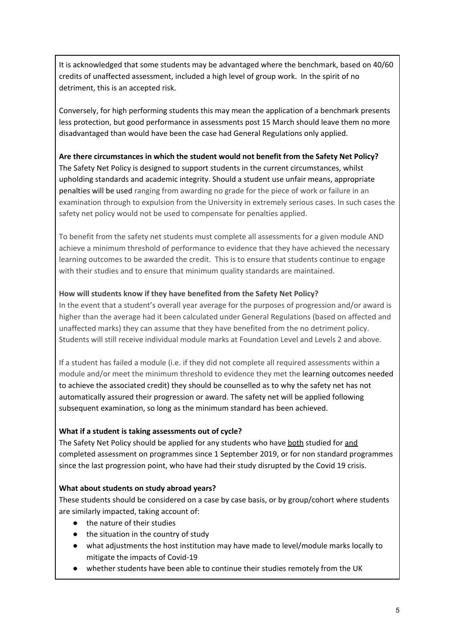It is acknowledged that some students may be advantaged where the benchmark, based on 40/60 credits of unaffected assessment, included a high level of group work. In the spirit of no detriment, this is an accepted risk.

Conversely, for high performing students this may mean the application of a benchmark presents less protection, but good performance in assessments post 15 March should leave them no more disadvantaged than would have been the case had General Regulations only applied.

### **Are there circumstances in which the student would not benefit from the Safety Net Policy?**

The Safety Net Policy is designed to support students in the current circumstances, whilst upholding standards and academic integrity. Should a student use unfair means, appropriate penalties will be used ranging from awarding no grade for the piece of work or failure in an examination through to expulsion from the University in extremely serious cases. In such cases the safety net policy would not be used to compensate for penalties applied.

To benefit from the safety net students must complete all assessments for a given module AND achieve a minimum threshold of performance to evidence that they have achieved the necessary learning outcomes to be awarded the credit. This is to ensure that students continue to engage with their studies and to ensure that minimum quality standards are maintained.

### **How will students know if they have benefited from the Safety Net Policy?**

In the event that a student's overall year average for the purposes of progression and/or award is higher than the average had it been calculated under General Regulations (based on affected and unaffected marks) they can assume that they have benefited from the no detriment policy. Students will still receive individual module marks at Foundation Level and Levels 2 and above.

If a student has failed a module (i.e. if they did not complete all required assessments within a module and/or meet the minimum threshold to evidence they met the learning outcomes needed to achieve the associated credit) they should be counselled as to why the safety net has not automatically assured their progression or award. The safety net will be applied following subsequent examination, so long as the minimum standard has been achieved.

### **What if a student is taking assessments out of cycle?**

The Safety Net Policy should be applied for any students who have both studied for and completed assessment on programmes since 1 September 2019, or for non standard programmes since the last progression point, who have had their study disrupted by the Covid 19 crisis.

### **What about students on study abroad years?**

These students should be considered on a case by case basis, or by group/cohort where students are similarly impacted, taking account of:

- the nature of their studies
- the situation in the country of study
- what adjustments the host institution may have made to level/module marks locally to mitigate the impacts of Covid-19
- whether students have been able to continue their studies remotely from the UK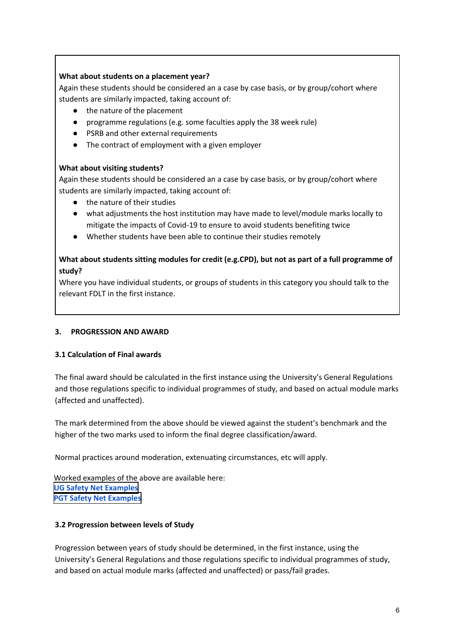### **What about students on a placement year?**

Again these students should be considered an a case by case basis, or by group/cohort where students are similarly impacted, taking account of:

- the nature of the placement
- programme regulations (e.g. some faculties apply the 38 week rule)
- PSRB and other external requirements
- The contract of employment with a given employer

### **What about visiting students?**

Again these students should be considered an a case by case basis, or by group/cohort where students are similarly impacted, taking account of:

- the nature of their studies
- what adjustments the host institution may have made to level/module marks locally to mitigate the impacts of Covid-19 to ensure to avoid students benefiting twice
- Whether students have been able to continue their studies remotely

## **What about students sitting modules for credit (e.g.CPD), but not as part of a full programme of study?**

Where you have individual students, or groups of students in this category you should talk to the relevant FDLT in the first instance.

### **3. PROGRESSION AND AWARD**

### **3.1 Calculation of Final awards**

The final award should be calculated in the first instance using the University's General Regulations and those regulations specific to individual programmes of study, and based on actual module marks (affected and unaffected).

The mark determined from the above should be viewed against the student's benchmark and the higher of the two marks used to inform the final degree classification/award.

Normal practices around moderation, extenuating circumstances, etc will apply.

Worked examples of the above are available here: **[UG Safety Net Examples](https://www.sheffield.ac.uk/polopoly_fs/1.889210!/file/UGSafetyNetExamples.pdf) [PGT Safety Net Examples](https://www.sheffield.ac.uk/polopoly_fs/1.889209!/file/PGTSafetyNetExamples.pdf)**

### **3.2 Progression between levels of Study**

Progression between years of study should be determined, in the first instance, using the University's General Regulations and those regulations specific to individual programmes of study, and based on actual module marks (affected and unaffected) or pass/fail grades.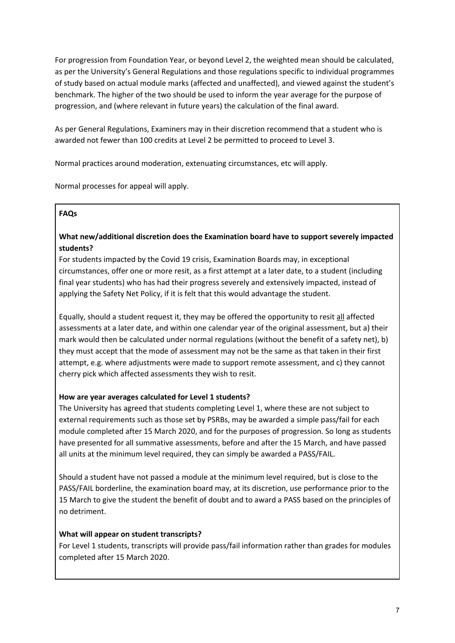For progression from Foundation Year, or beyond Level 2, the weighted mean should be calculated, as per the University's General Regulations and those regulations specific to individual programmes of study based on actual module marks (affected and unaffected), and viewed against the student's benchmark. The higher of the two should be used to inform the year average for the purpose of progression, and (where relevant in future years) the calculation of the final award.

As per General Regulations, Examiners may in their discretion recommend that a student who is awarded not fewer than 100 credits at Level 2 be permitted to proceed to Level 3.

Normal practices around moderation, extenuating circumstances, etc will apply.

Normal processes for appeal will apply.

### **FAQs**

# **What new/additional discretion does the Examination board have to support severely impacted students?**

For students impacted by the Covid 19 crisis, Examination Boards may, in exceptional circumstances, offer one or more resit, as a first attempt at a later date, to a student (including final year students) who has had their progress severely and extensively impacted, instead of applying the Safety Net Policy, if it is felt that this would advantage the student.

Equally, should a student request it, they may be offered the opportunity to resit all affected assessments at a later date, and within one calendar year of the original assessment, but a) their mark would then be calculated under normal regulations (without the benefit of a safety net), b) they must accept that the mode of assessment may not be the same as that taken in their first attempt, e.g. where adjustments were made to support remote assessment, and c) they cannot cherry pick which affected assessments they wish to resit.

### **How are year averages calculated for Level 1 students?**

The University has agreed that students completing Level 1, where these are not subject to external requirements such as those set by PSRBs, may be awarded a simple pass/fail for each module completed after 15 March 2020, and for the purposes of progression. So long as students have presented for all summative assessments, before and after the 15 March, and have passed all units at the minimum level required, they can simply be awarded a PASS/FAIL.

Should a student have not passed a module at the minimum level required, but is close to the PASS/FAIL borderline, the examination board may, at its discretion, use performance prior to the 15 March to give the student the benefit of doubt and to award a PASS based on the principles of no detriment.

## **What will appear on student transcripts?**

For Level 1 students, transcripts will provide pass/fail information rather than grades for modules completed after 15 March 2020.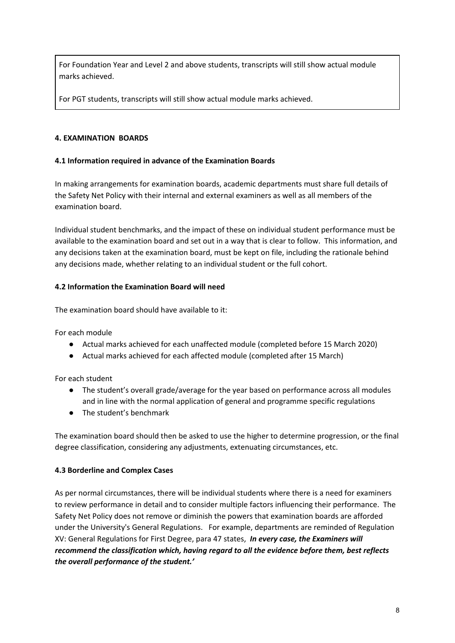For Foundation Year and Level 2 and above students, transcripts will still show actual module marks achieved.

For PGT students, transcripts will still show actual module marks achieved.

### **4. EXAMINATION BOARDS**

### **4.1 Information required in advance of the Examination Boards**

In making arrangements for examination boards, academic departments must share full details of the Safety Net Policy with their internal and external examiners as well as all members of the examination board.

Individual student benchmarks, and the impact of these on individual student performance must be available to the examination board and set out in a way that is clear to follow. This information, and any decisions taken at the examination board, must be kept on file, including the rationale behind any decisions made, whether relating to an individual student or the full cohort.

### **4.2 Information the Examination Board will need**

The examination board should have available to it:

For each module

- Actual marks achieved for each unaffected module (completed before 15 March 2020)
- Actual marks achieved for each affected module (completed after 15 March)

For each student

- The student's overall grade/average for the year based on performance across all modules and in line with the normal application of general and programme specific regulations
- The student's benchmark

The examination board should then be asked to use the higher to determine progression, or the final degree classification, considering any adjustments, extenuating circumstances, etc.

### **4.3 Borderline and Complex Cases**

As per normal circumstances, there will be individual students where there is a need for examiners to review performance in detail and to consider multiple factors influencing their performance. The Safety Net Policy does not remove or diminish the powers that examination boards are afforded under the University's General Regulations. For example, departments are reminded of Regulation XV: General Regulations for First Degree, para 47 states, *In every case, the Examiners will recommend the classification which, having regard to all the evidence before them, best reflects the overall performance of the student.'*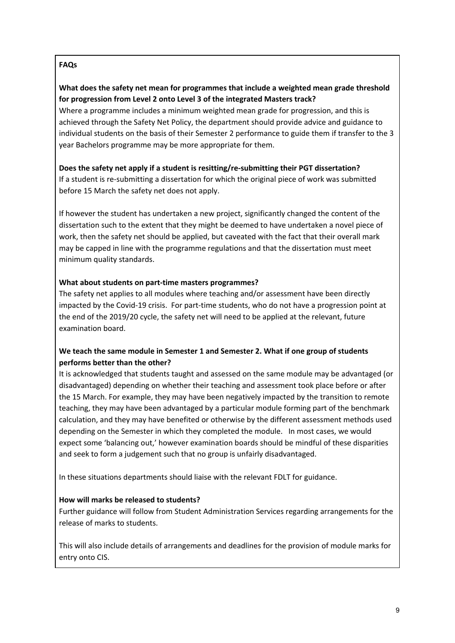## **FAQs**

## **What does the safety net mean for programmes that include a weighted mean grade threshold for progression from Level 2 onto Level 3 of the integrated Masters track?**

Where a programme includes a minimum weighted mean grade for progression, and this is achieved through the Safety Net Policy, the department should provide advice and guidance to individual students on the basis of their Semester 2 performance to guide them if transfer to the 3 year Bachelors programme may be more appropriate for them.

### **Does the safety net apply if a student is resitting/re-submitting their PGT dissertation?**

If a student is re-submitting a dissertation for which the original piece of work was submitted before 15 March the safety net does not apply.

If however the student has undertaken a new project, significantly changed the content of the dissertation such to the extent that they might be deemed to have undertaken a novel piece of work, then the safety net should be applied, but caveated with the fact that their overall mark may be capped in line with the programme regulations and that the dissertation must meet minimum quality standards.

### **What about students on part-time masters programmes?**

The safety net applies to all modules where teaching and/or assessment have been directly impacted by the Covid-19 crisis. For part-time students, who do not have a progression point at the end of the 2019/20 cycle, the safety net will need to be applied at the relevant, future examination board.

## **We teach the same module in Semester 1 and Semester 2. What if one group of students performs better than the other?**

It is acknowledged that students taught and assessed on the same module may be advantaged (or disadvantaged) depending on whether their teaching and assessment took place before or after the 15 March. For example, they may have been negatively impacted by the transition to remote teaching, they may have been advantaged by a particular module forming part of the benchmark calculation, and they may have benefited or otherwise by the different assessment methods used depending on the Semester in which they completed the module. In most cases, we would expect some 'balancing out,' however examination boards should be mindful of these disparities and seek to form a judgement such that no group is unfairly disadvantaged.

In these situations departments should liaise with the relevant FDLT for guidance.

## **How will marks be released to students?**

Further guidance will follow from Student Administration Services regarding arrangements for the release of marks to students.

This will also include details of arrangements and deadlines for the provision of module marks for entry onto CIS.